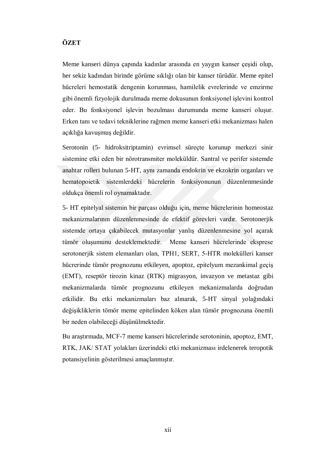## **ÖZET**

Meme kanseri dünya çapında kadınlar arasında en yaygın kanser çeşidi olup, her sekiz kadından birinde görüme sıklığı olan bir kanser türüdür. Meme epitel hücreleri hemostatik dengenin korunması, hamilelik evrelerinde ve emzirme gibi önemli fizyolojik durulmada meme dokusunun fonksiyonel işlevini kontrol eder. Bu fonksiyonel işlevin bozulması durumunda meme kanseri oluşur. Erken tanı ve tedavi tekniklerine rağmen meme kanseri etki mekanizması halen açıklığa kavuşmuş değildir.

Serotonin (5- hidroksitriptamin) evrimsel süreçte korunup merkezi sinir sistemine etki eden bir nörotransmiter moleküldür. Santral ve perifer sistemde anahtar rolleri bulunan 5-HT, aynı zamanda endokrin ve ekzokrin organları ve hematopoietik sistemlerdeki hücrelerin fonksiyonunun düzenlenmesinde oldukça önemli rol oynamaktadır.

5- HT epitelyal sistemin bir parçası olduğu için, meme hücrelerinin homeostaz mekanizmalarının düzenlenmesinde de efektif görevleri vardır. Serotonerjik sistemde ortaya çıkabilecek mutasyonlar yanlış düzenlenmesine yol açarak tümör oluşumunu desteklemektedir. Meme kanseri hücrelerinde eksprese serotonerjik sistem elemanları olan, TPH1, SERT, 5-HTR molekülleri kanser hücrerinde tümör prognozunu etkileyen, apoptoz, epitelyum mezankimal geçiş (EMT), reseptör tirozin kinaz (RTK) migrasyon, invazyon ve metastaz gibi mekanizmalarda tümör prognozunu etkileyen mekanizmalarda doğrudan etkilidir. Bu etki mekanizmaları baz alınarak, 5-HT sinyal yolağındaki değişikliklerin tömör meme epitelinden köken alan tümör prognozuna önemli bir neden olabileceği düşünülmektedir.

Bu araştırmada, MCF-7 meme kanseri hücrelerinde serotoninin, apoptoz, EMT, RTK, JAK/ STAT yolakları üzerindeki etki mekanizması irdelenerek teropotik potansiyelinin gösterilmesi amaçlanmıştır.